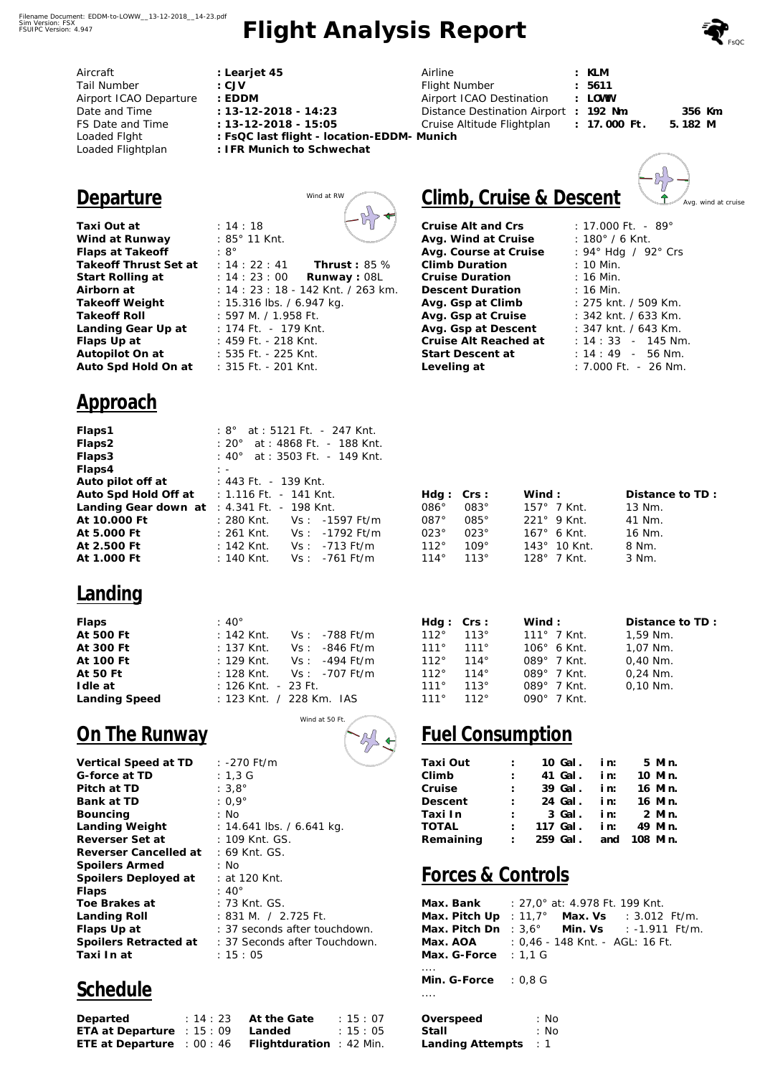# **Flight Analysis Report**

| Aircraft               | : Learjet 45                               | Airline                               | : KLM    |
|------------------------|--------------------------------------------|---------------------------------------|----------|
| Tail Number            | : CJV                                      | Flight Number                         | : 5611   |
| Airport ICAO Departure | : EDDM                                     | Airport ICAO Destination              | : LOWW   |
| Date and Time          | $: 13 - 12 - 2018 - 14.23$                 | Distance Destination Airport : 192 Nm |          |
| FS Date and Time       | $: 13 - 12 - 2018 - 15.05$                 | Cruise Altitude Flightplan            | : 17.000 |
| Loaded Fight           | : FsQC last flight - location-EDDM- Munich |                                       |          |
| Loaded Flightplan      | : IFR Munich to Schwechat                  |                                       |          |
|                        |                                            |                                       |          |
|                        |                                            |                                       |          |

Thrust: 85 % Runway: 08L

on<br>Mi

## Climb, Cruise & Descent

**Cruise Alt and Crs Avg. Wind at Cruise Avg. Course at Cruise Climb Duration Cruise Duration Descent Duration Avg. Gsp at Climb Avg. Gsp at Cruise Avg. Gsp at Descent Cruise Alt Reached at Start Descent at Leveling at** 

| : 17.000 Ft. - 89 $^{\circ}$ |
|------------------------------|
| : 180° / 6 Knt.              |
| : 94° Hdg / 92° Crs          |
| : 10 Min.                    |
| : 16 Min.                    |
| $: 16$ Min.                  |
| : 275 knt. / 509 Km.         |
| : 342 knt. / 633 Km.         |
| : 347 knt. / 643 Km.         |
| $: 14:33 - 145$ Nm           |
| $: 14: 49 - 56$ Nm.          |
| : 7.000 Ft. - 26 Nm.         |

**: 17.000 Ft.** 

| Hdq: Crs:     |             | Wind :                | Distance to TD: |
|---------------|-------------|-----------------------|-----------------|
| 086°          | $083^\circ$ | $157^{\circ}$ 7 Knt.  | 13 Nm.          |
| $087^\circ$   | $085^\circ$ | $221^\circ$ 9 Knt.    | 41 Nm.          |
| $023^\circ$   | $023^\circ$ | $167^{\circ}$ 6 Knt.  | 16 Nm.          |
| 112°          | $109^\circ$ | $143^{\circ}$ 10 Knt. | 8 Nm.           |
| $114^{\circ}$ | $113^\circ$ | $128^\circ$ 7 Knt.    | 3 Nm.           |
|               |             |                       |                 |

| Hdq: Crs: |             | Wind:                | Distance to TD: |
|-----------|-------------|----------------------|-----------------|
| 112°      | $113^\circ$ | $111^{\circ}$ 7 Knt. | 1,59 Nm.        |
| 111°      | 111°        | $106^\circ$ 6 Knt.   | 1,07 Nm.        |
| 112°      | $114^\circ$ | 089° 7 Knt.          | $0,40$ Nm.      |
| 112°      | $114^\circ$ | 089° 7 Knt.          | $0.24$ Nm.      |
| 111°      | 113°        | 089° 7 Knt.          | $0.10$ Nm.      |
| 111°      | 112°        | 090° 7 Knt.          |                 |

### **Fuel Consumption**

| Taxi Out  | t in    |  | 10 Gal. in: 5 Min.      |  |
|-----------|---------|--|-------------------------|--|
| Climb     | t in    |  | 41 Gal. in: 10 Min.     |  |
| Cruise    | $1 - 1$ |  | 39 Gal. in: 16 Min.     |  |
| Descent   |         |  | : 24 Gal. in: 16 Min.   |  |
| Taxi In   |         |  | $: 3$ Gal. in: $2$ Min. |  |
| TOTAL     |         |  | : 117 Gal. in: 49 Min.  |  |
| Remaining |         |  | : 259 Gal. and 108 Min. |  |
|           |         |  |                         |  |

#### **Forces & Controls**

| Max. Bank              | : 27,0 $^{\circ}$ at: 4.978 Ft. 199 Knt. |
|------------------------|------------------------------------------|
| Max. Pitch Up          | : 11,7° Max. Vs : 3.012 Ft/m.            |
| Max. Pitch Dn          | : $3.6^{\circ}$ Min. Vs : -1.911 Ft/m.   |
| Max. AOA               | : 0,46 - 148 Knt. - AGL: 16 Ft.          |
| Max. G-Force $: 1.1$ G |                                          |
|                        |                                          |
| Min. G-Force $: 0.8$ G |                                          |
|                        |                                          |
|                        |                                          |
| Overspeed              | : No                                     |
| Stall                  | : No                                     |
| Landing Attempts       | $\therefore$ 1                           |

## **Departure** Wind at RW

**Taxi Out at Wind at Runway Flaps at Takeoff**  Takeoff Thrust Set at : 14 : 22 : 41 **Start Rolling at : 14 : 23 : 00 Airborn at Takeoff Weight Takeoff Roll Landing Gear Up at Flaps Up at Autopilot On at Auto Spd Hold On at**  : 14 : 18 : 85° 11 Knt. : 8° : 14 : 23 : 18 - 142 Knt. / 263 km. : 15.316 lbs. / 6.947 kg. : 597 M. / 1.958 Ft. : 174 Ft. - 179 Knt. : 459 Ft. - 218 Knt. : 535 Ft. - 225 Knt. : 315 Ft. - 201 Knt.

#### **Approach**

| Flaps1                                        |                |  |                           | : 8° at : 5121 Ft. - 247 Knt.  |  |
|-----------------------------------------------|----------------|--|---------------------------|--------------------------------|--|
| Flaps2                                        |                |  |                           | : 20° at : 4868 Ft. - 188 Knt. |  |
| Flaps3                                        |                |  |                           | : 40° at : 3503 Ft. - 149 Knt. |  |
| Flaps4                                        | $\mathbb{R}^n$ |  |                           |                                |  |
| Auto pilot off at                             |                |  | : 443 Ft. - 139 Knt.      |                                |  |
| Auto Spd Hold Off at                          |                |  | $: 1.116$ Ft. $-141$ Knt. |                                |  |
| Landing Gear down $at : 4.341$ Ft. - 198 Knt. |                |  |                           |                                |  |
| At 10,000 Ft                                  |                |  |                           |                                |  |
| At 5.000 Ft                                   |                |  |                           |                                |  |
| At 2.500 Ft                                   |                |  |                           |                                |  |
| At 1.000 Ft                                   |                |  |                           | : 140 Knt. $Vs: -761$ Ft/m     |  |
|                                               |                |  |                           |                                |  |

#### **Landing**

| Flaps         | $:40^{\circ}$                      |
|---------------|------------------------------------|
| At 500 Ft     | : 142 Knt. $Vs: -788$ Ft/m         |
| At 300 Ft     | : 137 Knt. $Vs: -846$ Ft/m         |
| At 100 Ft     | : 129 Knt. $Vs: -494$ Ft/m         |
| At 50 Ft      | : 128 Knt. $Vs: -707 \text{ Ft/m}$ |
| I dle at      | : 126 Knt. - 23 Ft.                |
| Landing Speed | : 123 Knt. / 228 Km. IAS           |

Wind at 50 Ft.

## **On The Runway**

| Vertical Speed at TD  | : -270 Ft/m                                         |
|-----------------------|-----------------------------------------------------|
| G-force at TD         | :1,3 G                                              |
| Pitch at TD           | : $3.8^\circ$                                       |
| Bank at TD            | : 0,9 $^{\circ}$                                    |
| Bouncing              | : No                                                |
| Landing Weight        | : 14.641 lbs. / 6.641 kg.                           |
| Reverser Set at       | : 109 Knt. GS.                                      |
| Reverser Cancelled at | : 69 Knt. GS.                                       |
| Spoilers Armed        | : No                                                |
| Spoilers Deployed at  | : at 120 Knt.                                       |
| Flaps                 | : 40 $^{\circ}$                                     |
| Toe Brakes at         | : 73 Knt. GS.                                       |
| Landing Roll          | : 831 M. / 2.725 Ft.                                |
| Flaps Up at           | : 37 seconds after touchdown.                       |
|                       | Spoilers Retracted at : 37 Seconds after Touchdown. |
| Taxi In at            | : 15 : 05                                           |

## **Schedule**

| Departed                                            | $: 14:23$ At the Gate | : 15:07 |
|-----------------------------------------------------|-----------------------|---------|
| ETA at Departure : $15:09$                          | Landed                | : 15:05 |
| ETE at Departure : 00 : 46 Flightduration : 42 Min. |                       |         |



 **356 Km. 5.182 M.**